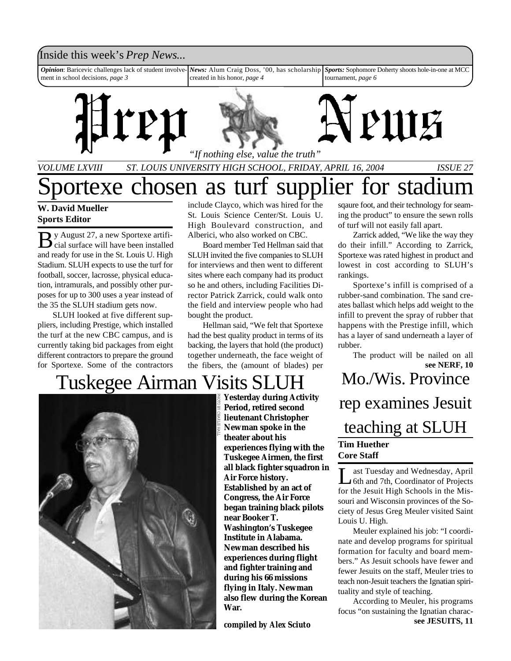### Inside this week's *Prep News*...

*Opinion*: Baricevic challenges lack of student involvement in school decisions, *page 3 News:* Alum Craig Doss, '00, has scholarship created in his honor, *page 4 Sports:* Sophomore Doherty shoots hole-in-one at MCC tournament, *page 6*



*VOLUME LXVIII ST. LOUIS UNIVERSITY HIGH SCHOOL, FRIDAY, APRIL 16, 2004 ISSUE 27*

# portexe chosen as turf supplier for stadium

#### **W. David Mueller Sports Editor**

By August 27, a new Sportexe artifi-<br>cial surface will have been installed cial surface will have been installed and ready for use in the St. Louis U. High Stadium. SLUH expects to use the turf for football, soccer, lacrosse, physical education, intramurals, and possibly other purposes for up to 300 uses a year instead of the 35 the SLUH stadium gets now.

SLUH looked at five different suppliers, including Prestige, which installed the turf at the new CBC campus, and is currently taking bid packages from eight different contractors to prepare the ground for Sportexe. Some of the contractors

include Clayco, which was hired for the St. Louis Science Center/St. Louis U. High Boulevard construction, and Alberici, who also worked on CBC.

Board member Ted Hellman said that SLUH invited the five companies to SLUH for interviews and then went to different sites where each company had its product so he and others, including Facilities Director Patrick Zarrick, could walk onto the field and interview people who had bought the product.

Hellman said, "We felt that Sportexe had the best quality product in terms of its backing, the layers that hold (the product) together underneath, the face weight of the fibers, the (amount of blades) per

# Tuskegee Airman Visits SLUH



**Yesterday during Activity Period, retired second lieutenant Christopher Newman spoke in the theater about his experiences flying with the Tuskegee Airmen, the first all black fighter squadron in Air Force history. Established by an act of Congress, the Air Force began training black pilots near Booker T. Washington's Tuskegee Institute in Alabama. Newman described his experiences during flight and fighter training and during his 66 missions flying in Italy. Newman also flew during the Korean War.**

*compiled by Alex Sciuto*

sqaure foot, and their technology for seaming the product" to ensure the sewn rolls of turf will not easily fall apart.

Zarrick added, "We like the way they do their infill." According to Zarrick, Sportexe was rated highest in product and lowest in cost according to SLUH's rankings.

Sportexe's infill is comprised of a rubber-sand combination. The sand creates ballast which helps add weight to the infill to prevent the spray of rubber that happens with the Prestige infill, which has a layer of sand underneath a layer of rubber.

**see NERF, 10** The product will be nailed on all

Mo./Wis. Province rep examines Jesuit teaching at SLUH **Tim Huether Core Staff**

Let Tuesday and Wednesday, April<br>6th and 7th, Coordinator of Projects ast Tuesday and Wednesday, April for the Jesuit High Schools in the Missouri and Wisconsin provinces of the Society of Jesus Greg Meuler visited Saint Louis U. High.

Meuler explained his job: "I coordinate and develop programs for spiritual formation for faculty and board members." As Jesuit schools have fewer and fewer Jesuits on the staff, Meuler tries to teach non-Jesuit teachers the Ignatian spirituality and style of teaching.

**see JESUITS, 11** According to Meuler, his programs focus "on sustaining the Ignatian charac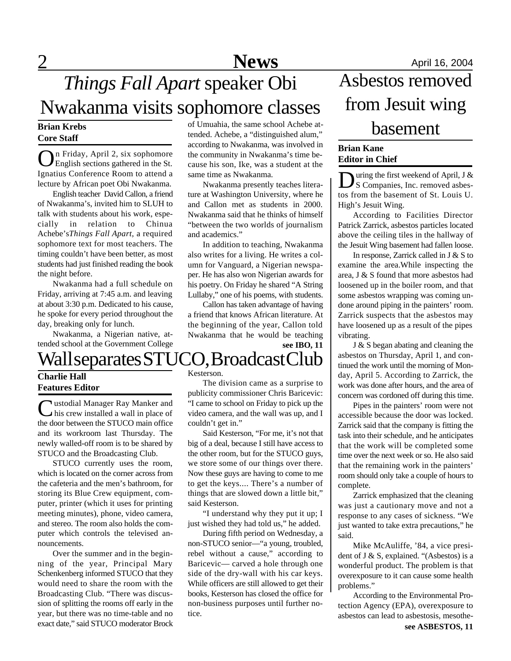of Umuahia, the same school Achebe attended. Achebe, a "distinguished alum," according to Nwakanma, was involved in the community in Nwakanma's time because his son, Ike, was a student at the

Nwakanma presently teaches literature at Washington University, where he and Callon met as students in 2000. Nwakanma said that he thinks of himself "between the two worlds of journalism

In addition to teaching, Nwakanma also writes for a living. He writes a column for Vanguard, a Nigerian newspaper. He has also won Nigerian awards for his poetry. On Friday he shared "A String Lullaby," one of his poems, with students. Callon has taken advantage of having a friend that knows African literature. At the beginning of the year, Callon told Nwakanma that he would be teaching

same time as Nwakanma.

and academics."

#### **Brian Krebs Core Staff**

O n Friday, April 2, six sophomore English sections gathered in the St. Ignatius Conference Room to attend a lecture by African poet Obi Nwakanma.

English teacher David Callon, a friend of Nwakanma's, invited him to SLUH to talk with students about his work, especially in relation to Chinua Achebe's*Things Fall Apart*, a required sophomore text for most teachers. The timing couldn't have been better, as most students had just finished reading the book the night before.

Nwakanma had a full schedule on Friday, arriving at 7:45 a.m. and leaving at about 3:30 p.m. Dedicated to his cause, he spoke for every period throughout the day, breaking only for lunch.

Nwakanma, a Nigerian native, attended school at the Government College

# Wall separates STUCO, Broadcast Club

### **Charlie Hall Features Editor**

Ustodial Manager Ray Manker and<br>
this crew installed a wall in place of his crew installed a wall in place of the door between the STUCO main office and its workroom last Thursday. The newly walled-off room is to be shared by STUCO and the Broadcasting Club.

STUCO currently uses the room, which is located on the corner across from the cafeteria and the men's bathroom, for storing its Blue Crew equipment, computer, printer (which it uses for printing meeting minutes), phone, video camera, and stereo. The room also holds the computer which controls the televised announcements.

Over the summer and in the beginning of the year, Principal Mary Schenkenberg informed STUCO that they would need to share the room with the Broadcasting Club. "There was discussion of splitting the rooms off early in the year, but there was no time-table and no exact date," said STUCO moderator Brock

Kesterson.

The division came as a surprise to publicity commissioner Chris Baricevic: "I came to school on Friday to pick up the video camera, and the wall was up, and I couldn't get in."

**see IBO, 11**

Said Kesterson, "For me, it's not that big of a deal, because I still have access to the other room, but for the STUCO guys, we store some of our things over there. Now these guys are having to come to me to get the keys.... There's a number of things that are slowed down a little bit," said Kesterson.

"I understand why they put it up; I just wished they had told us," he added.

During fifth period on Wednesday, a non-STUCO senior—"a young, troubled, rebel without a cause," according to Baricevic— carved a hole through one side of the dry-wall with his car keys. While officers are still allowed to get their books, Kesterson has closed the office for non-business purposes until further notice.

# Asbestos removed from Jesuit wing basement

#### **Brian Kane Editor in Chief**

**D** uring the first weekend of April, J &<br>S Companies, Inc. removed asbes-<br>tos from the basement of St. Louis U. uring the first weekend of April, J & S Companies, Inc. removed asbes-High's Jesuit Wing.

According to Facilities Director Patrick Zarrick, asbestos particles located above the ceiling tiles in the hallway of the Jesuit Wing basement had fallen loose.

In response, Zarrick called in J & S to examine the area.While inspecting the area, J & S found that more asbestos had loosened up in the boiler room, and that some asbestos wrapping was coming undone around piping in the painters' room. Zarrick suspects that the asbestos may have loosened up as a result of the pipes vibrating.

J & S began abating and cleaning the asbestos on Thursday, April 1, and continued the work until the morning of Monday, April 5. According to Zarrick, the work was done after hours, and the area of concern was cordoned off during this time.

Pipes in the painters' room were not accessible because the door was locked. Zarrick said that the company is fitting the task into their schedule, and he anticipates that the work will be completed some time over the next week or so. He also said that the remaining work in the painters' room should only take a couple of hours to complete.

Zarrick emphasized that the cleaning was just a cautionary move and not a response to any cases of sickness. "We just wanted to take extra precautions," he said.

Mike McAuliffe, '84, a vice president of J & S, explained. "(Asbestos) is a wonderful product. The problem is that overexposure to it can cause some health problems."

According to the Environmental Protection Agency (EPA), overexposure to asbestos can lead to asbestosis, mesothe-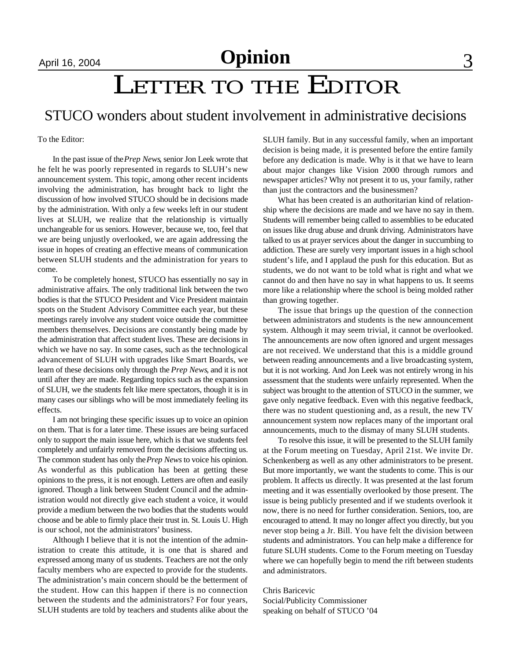## April 16, 2004 **Opinion** 3

# LETTER TO THE EDITOR

### STUCO wonders about student involvement in administrative decisions

To the Editor:

In the past issue of the *Prep News*, senior Jon Leek wrote that he felt he was poorly represented in regards to SLUH's new announcement system. This topic, among other recent incidents involving the administration, has brought back to light the discussion of how involved STUCO should be in decisions made by the administration. With only a few weeks left in our student lives at SLUH, we realize that the relationship is virtually unchangeable for us seniors. However, because we, too, feel that we are being unjustly overlooked, we are again addressing the issue in hopes of creating an effective means of communication between SLUH students and the administration for years to come.

To be completely honest, STUCO has essentially no say in administrative affairs. The only traditional link between the two bodies is that the STUCO President and Vice President maintain spots on the Student Advisory Committee each year, but these meetings rarely involve any student voice outside the committee members themselves. Decisions are constantly being made by the administration that affect student lives. These are decisions in which we have no say. In some cases, such as the technological advancement of SLUH with upgrades like Smart Boards, we learn of these decisions only through the *Prep News*, and it is not until after they are made. Regarding topics such as the expansion of SLUH, we the students felt like mere spectators, though it is in many cases our siblings who will be most immediately feeling its effects.

I am not bringing these specific issues up to voice an opinion on them. That is for a later time. These issues are being surfaced only to support the main issue here, which is that we students feel completely and unfairly removed from the decisions affecting us. The common student has only the *Prep News* to voice his opinion. As wonderful as this publication has been at getting these opinions to the press, it is not enough. Letters are often and easily ignored. Though a link between Student Council and the administration would not directly give each student a voice, it would provide a medium between the two bodies that the students would choose and be able to firmly place their trust in. St. Louis U. High is our school, not the administrators' business.

Although I believe that it is not the intention of the administration to create this attitude, it is one that is shared and expressed among many of us students. Teachers are not the only faculty members who are expected to provide for the students. The administration's main concern should be the betterment of the student. How can this happen if there is no connection between the students and the administrators? For four years, SLUH students are told by teachers and students alike about the SLUH family. But in any successful family, when an important decision is being made, it is presented before the entire family before any dedication is made. Why is it that we have to learn about major changes like Vision 2000 through rumors and newspaper articles? Why not present it to us, your family, rather than just the contractors and the businessmen?

What has been created is an authoritarian kind of relationship where the decisions are made and we have no say in them. Students will remember being called to assemblies to be educated on issues like drug abuse and drunk driving. Administrators have talked to us at prayer services about the danger in succumbing to addiction. These are surely very important issues in a high school student's life, and I applaud the push for this education. But as students, we do not want to be told what is right and what we cannot do and then have no say in what happens to us. It seems more like a relationship where the school is being molded rather than growing together.

The issue that brings up the question of the connection between administrators and students is the new announcement system. Although it may seem trivial, it cannot be overlooked. The announcements are now often ignored and urgent messages are not received. We understand that this is a middle ground between reading announcements and a live broadcasting system, but it is not working. And Jon Leek was not entirely wrong in his assessment that the students were unfairly represented. When the subject was brought to the attention of STUCO in the summer, we gave only negative feedback. Even with this negative feedback, there was no student questioning and, as a result, the new TV announcement system now replaces many of the important oral announcements, much to the dismay of many SLUH students.

To resolve this issue, it will be presented to the SLUH family at the Forum meeting on Tuesday, April 21st. We invite Dr. Schenkenberg as well as any other administrators to be present. But more importantly, we want the students to come. This is our problem. It affects us directly. It was presented at the last forum meeting and it was essentially overlooked by those present. The issue is being publicly presented and if we students overlook it now, there is no need for further consideration. Seniors, too, are encouraged to attend. It may no longer affect you directly, but you never stop being a Jr. Bill. You have felt the division between students and administrators. You can help make a difference for future SLUH students. Come to the Forum meeting on Tuesday where we can hopefully begin to mend the rift between students and administrators.

Chris Baricevic Social/Publicity Commissioner speaking on behalf of STUCO '04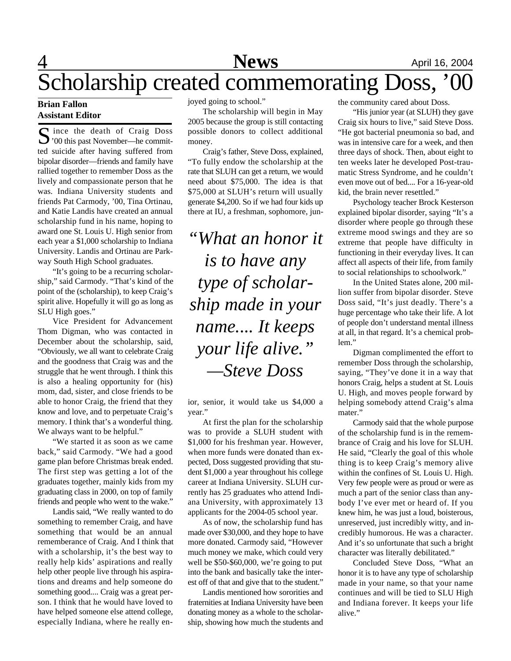# **1 News** April 16, 2004

# Scholarship created commemorating Doss, '00

#### **Brian Fallon Assistant Editor**

S ince the death of Craig Doss<br>
'00 this past November—he commit-'00 this past November—he committed suicide after having suffered from bipolar disorder—friends and family have rallied together to remember Doss as the lively and compassionate person that he was. Indiana University students and friends Pat Carmody, '00, Tina Ortinau, and Katie Landis have created an annual scholarship fund in his name, hoping to award one St. Louis U. High senior from each year a \$1,000 scholarship to Indiana University. Landis and Ortinau are Parkway South High School graduates.

"It's going to be a recurring scholarship," said Carmody. "That's kind of the point of the (scholarship), to keep Craig's spirit alive. Hopefully it will go as long as SLU High goes."

Vice President for Advancement Thom Digman, who was contacted in December about the scholarship, said, "Obviously, we all want to celebrate Craig and the goodness that Craig was and the struggle that he went through. I think this is also a healing opportunity for (his) mom, dad, sister, and close friends to be able to honor Craig, the friend that they know and love, and to perpetuate Craig's memory. I think that's a wonderful thing. We always want to be helpful."

"We started it as soon as we came back," said Carmody. "We had a good game plan before Christmas break ended. The first step was getting a lot of the graduates together, mainly kids from my graduating class in 2000, on top of family friends and people who went to the wake."

Landis said, "We really wanted to do something to remember Craig, and have something that would be an annual rememberance of Craig. And I think that with a scholarship, it's the best way to really help kids' aspirations and really help other people live through his aspirations and dreams and help someone do something good.... Craig was a great person. I think that he would have loved to have helped someone else attend college, especially Indiana, where he really enjoyed going to school."

The scholarship will begin in May 2005 because the group is still contacting possible donors to collect additional money.

Craig's father, Steve Doss, explained, "To fully endow the scholarship at the rate that SLUH can get a return, we would need about \$75,000. The idea is that \$75,000 at SLUH's return will usually generate \$4,200. So if we had four kids up there at IU, a freshman, sophomore, jun-

*"What an honor it is to have any type of scholarship made in your name.... It keeps your life alive." —Steve Doss*

ior, senior, it would take us \$4,000 a year."

At first the plan for the scholarship was to provide a SLUH student with \$1,000 for his freshman year. However, when more funds were donated than expected, Doss suggested providing that student \$1,000 a year throughout his college career at Indiana University. SLUH currently has 25 graduates who attend Indiana University, with approximately 13 applicants for the 2004-05 school year.

As of now, the scholarship fund has made over \$30,000, and they hope to have more donated. Carmody said, "However much money we make, which could very well be \$50-\$60,000, we're going to put into the bank and basically take the interest off of that and give that to the student."

Landis mentioned how sororities and fraternities at Indiana University have been donating money as a whole to the scholarship, showing how much the students and

the community cared about Doss.

"His junior year (at SLUH) they gave Craig six hours to live," said Steve Doss. "He got bacterial pneumonia so bad, and was in intensive care for a week, and then three days of shock. Then, about eight to ten weeks later he developed Post-traumatic Stress Syndrome, and he couldn't even move out of bed.... For a 16-year-old kid, the brain never resettled."

Psychology teacher Brock Kesterson explained bipolar disorder, saying "It's a disorder where people go through these extreme mood swings and they are so extreme that people have difficulty in functioning in their everyday lives. It can affect all aspects of their life, from family to social relationships to schoolwork."

In the United States alone, 200 million suffer from bipolar disorder. Steve Doss said, "It's just deadly. There's a huge percentage who take their life. A lot of people don't understand mental illness at all, in that regard. It's a chemical problem."

Digman complimented the effort to remember Doss through the scholarship, saying, "They've done it in a way that honors Craig, helps a student at St. Louis U. High, and moves people forward by helping somebody attend Craig's alma mater."

Carmody said that the whole purpose of the scholarship fund is in the remembrance of Craig and his love for SLUH. He said, "Clearly the goal of this whole thing is to keep Craig's memory alive within the confines of St. Louis U. High. Very few people were as proud or were as much a part of the senior class than anybody I've ever met or heard of. If you knew him, he was just a loud, boisterous, unreserved, just incredibly witty, and incredibly humorous. He was a character. And it's so unfortunate that such a bright character was literally debilitated."

Concluded Steve Doss, "What an honor it is to have any type of scholarship made in your name, so that your name continues and will be tied to SLU High and Indiana forever. It keeps your life alive."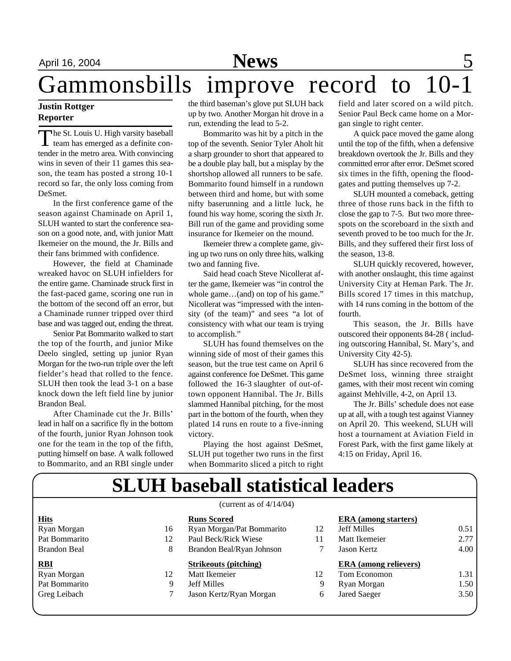# Gammonsbills improve record to

### **Justin Rottger Reporter**

The St. Louis U. High varsity baseball<br>team has emerged as a definite conhe St. Louis U. High varsity baseball tender in the metro area. With convincing wins in seven of their 11 games this season, the team has posted a strong 10-1 record so far, the only loss coming from DeSmet.

In the first conference game of the season against Chaminade on April 1, SLUH wanted to start the conference season on a good note, and, with junior Matt Ikemeier on the mound, the Jr. Bills and their fans brimmed with confidence.

However, the field at Chaminade wreaked havoc on SLUH infielders for the entire game. Chaminade struck first in the fast-paced game, scoring one run in the bottom of the second off an error, but a Chaminade runner tripped over third base and was tagged out, ending the threat.

Senior Pat Bommarito walked to start the top of the fourth, and junior Mike Deelo singled, setting up junior Ryan Morgan for the two-run triple over the left fielder's head that rolled to the fence. SLUH then took the lead 3-1 on a base knock down the left field line by junior Brandon Beal.

After Chaminade cut the Jr. Bills' lead in half on a sacrifice fly in the bottom of the fourth, junior Ryan Johnson took one for the team in the top of the fifth, putting himself on base. A walk followed to Bommarito, and an RBI single under the third baseman's glove put SLUH back up by two. Another Morgan hit drove in a run, extending the lead to 5-2.

Bommarito was hit by a pitch in the top of the seventh. Senior Tyler Aholt hit a sharp grounder to short that appeared to be a double play ball, but a misplay by the shortshop allowed all runners to be safe. Bommarito found himself in a rundown between third and home, but with some nifty baserunning and a little luck, he found his way home, scoring the sixth Jr. Bill run of the game and providing some insurance for Ikemeier on the mound.

Ikemeier threw a complete game, giving up two runs on only three hits, walking two and fanning five.

Said head coach Steve Nicollerat after the game, Ikemeier was "in control the whole game…(and) on top of his game." Nicollerat was "impressed with the intensity (of the team)" and sees "a lot of consistency with what our team is trying to accomplish."

SLUH has found themselves on the winning side of most of their games this season, but the true test came on April 6 against conference foe DeSmet. This game followed the 16-3 slaughter of out-oftown opponent Hannibal. The Jr. Bills slammed Hannibal pitching, for the most part in the bottom of the fourth, when they plated 14 runs en route to a five-inning victory.

Playing the host against DeSmet, SLUH put together two runs in the first when Bommarito sliced a pitch to right field and later scored on a wild pitch. Senior Paul Beck came home on a Morgan single to right center.

A quick pace moved the game along until the top of the fifth, when a defensive breakdown overtook the Jr. Bills and they committed error after error. DeSmet scored six times in the fifth, opening the floodgates and putting themselves up 7-2.

SLUH mounted a comeback, getting three of those runs back in the fifth to close the gap to 7-5. But two more threespots on the scoreboard in the sixth and seventh proved to be too much for the Jr. Bills, and they suffered their first loss of the season, 13-8.

SLUH quickly recovered, however, with another onslaught, this time against University City at Heman Park. The Jr. Bills scored 17 times in this matchup, with 14 runs coming in the bottom of the fourth.

This season, the Jr. Bills have outscored their opponents 84-28 ( including outscoring Hannibal, St. Mary's, and University City 42-5).

SLUH has since recovered from the DeSmet loss, winning three straight games, with their most recent win coming against Mehlville, 4-2, on April 13.

The Jr. Bills' schedule does not ease up at all, with a tough test against Vianney on April 20. This weekend, SLUH will host a tournament at Aviation Field in Forest Park, with the first game likely at 4:15 on Friday, April 16.

# **SLUH baseball statistical leaders**

|               |    | (current as of $4/14/04$ )   |    |                              |      |
|---------------|----|------------------------------|----|------------------------------|------|
| <b>Hits</b>   |    | <b>Runs Scored</b>           |    | <b>ERA</b> (among starters)  |      |
| Ryan Morgan   | 16 | Ryan Morgan/Pat Bommarito    | 12 | <b>Jeff Milles</b>           | 0.51 |
| Pat Bommarito | 12 | Paul Beck/Rick Wiese         | 11 | Matt Ikemeier                | 2.77 |
| Brandon Beal  | 8  | Brandon Beal/Ryan Johnson    |    | Jason Kertz                  | 4.00 |
|               |    |                              |    |                              |      |
| <b>RBI</b>    |    | <b>Strikeouts (pitching)</b> |    | <b>ERA</b> (among relievers) |      |
| Ryan Morgan   | 12 | Matt Ikemeier                | 12 | Tom Economon                 | 1.31 |
| Pat Bommarito | 9  | <b>Jeff Milles</b>           | 9  | Ryan Morgan                  | 1.50 |
| Greg Leibach  |    | Jason Kertz/Ryan Morgan      | 6  | <b>Jared Saeger</b>          | 3.50 |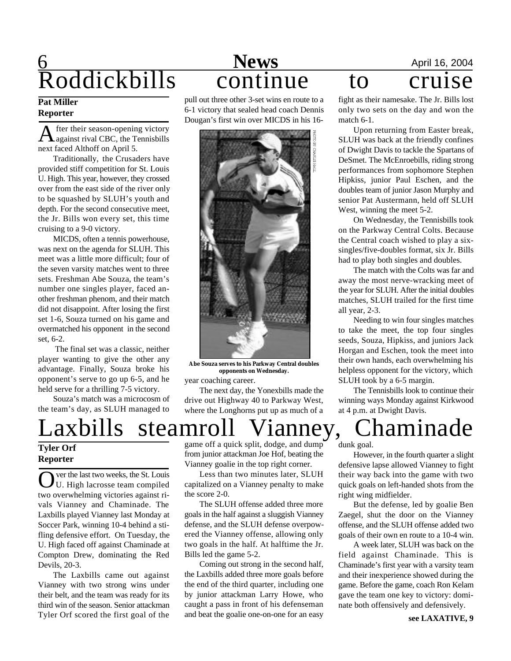# **6** April 16, 2004 Roddickbills continue to cruise

#### **Pat Miller Reporter**

A fter their season-opening victory<br>against rival CBC, the Tennisbills fter their season-opening victory next faced Althoff on April 5.

Traditionally, the Crusaders have provided stiff competition for St. Louis U. High. This year, however, they crossed over from the east side of the river only to be squashed by SLUH's youth and depth. For the second consecutive meet, the Jr. Bills won every set, this time cruising to a 9-0 victory.

MICDS, often a tennis powerhouse, was next on the agenda for SLUH. This meet was a little more difficult; four of the seven varsity matches went to three sets. Freshman Abe Souza, the team's number one singles player, faced another freshman phenom, and their match did not disappoint. After losing the first set 1-6, Souza turned on his game and overmatched his opponent in the second set, 6-2.

 The final set was a classic, neither player wanting to give the other any advantage. Finally, Souza broke his opponent's serve to go up 6-5, and he held serve for a thrilling 7-5 victory.

Souza's match was a microcosm of the team's day, as SLUH managed to

pull out three other 3-set wins en route to a 6-1 victory that sealed head coach Dennis Dougan's first win over MICDS in his 16-



**Abe Souza serves to his Parkway Central doubles opponents on Wednesday.**

year coaching career.

The next day, the Yonexbills made the drive out Highway 40 to Parkway West, where the Longhorns put up as much of a

Laxbills steamroll Vianney, Chaminade

game off a quick split, dodge, and dump from junior attackman Joe Hof, beating the Vianney goalie in the top right corner.

Less than two minutes later, SLUH capitalized on a Vianney penalty to make the score 2-0.

The SLUH offense added three more goals in the half against a sluggish Vianney defense, and the SLUH defense overpowered the Vianney offense, allowing only two goals in the half. At halftime the Jr. Bills led the game 5-2.

Coming out strong in the second half, the Laxbills added three more goals before the end of the third quarter, including one by junior attackman Larry Howe, who caught a pass in front of his defenseman and beat the goalie one-on-one for an easy

fight as their namesake. The Jr. Bills lost only two sets on the day and won the match 6-1.

Upon returning from Easter break, SLUH was back at the friendly confines of Dwight Davis to tackle the Spartans of DeSmet. The McEnroebills, riding strong performances from sophomore Stephen Hipkiss, junior Paul Eschen, and the doubles team of junior Jason Murphy and senior Pat Austermann, held off SLUH West, winning the meet 5-2.

On Wednesday, the Tennisbills took on the Parkway Central Colts. Because the Central coach wished to play a sixsingles/five-doubles format, six Jr. Bills had to play both singles and doubles.

The match with the Colts was far and away the most nerve-wracking meet of the year for SLUH. After the initial doubles matches, SLUH trailed for the first time all year, 2-3.

Needing to win four singles matches to take the meet, the top four singles seeds, Souza, Hipkiss, and juniors Jack Horgan and Eschen, took the meet into their own hands, each overwhelming his helpless opponent for the victory, which SLUH took by a 6-5 margin.

The Tennisbills look to continue their winning ways Monday against Kirkwood at 4 p.m. at Dwight Davis.

dunk goal.

However, in the fourth quarter a slight defensive lapse allowed Vianney to fight their way back into the game with two quick goals on left-handed shots from the right wing midfielder.

But the defense, led by goalie Ben Zaegel, shut the door on the Vianney offense, and the SLUH offense added two goals of their own en route to a 10-4 win.

A week later, SLUH was back on the field against Chaminade. This is Chaminade's first year with a varsity team and their inexperience showed during the game. Before the game, coach Ron Kelam gave the team one key to victory: dominate both offensively and defensively.

### **Tyler Orf Reporter**

O ver the last two weeks, the St. Louis<br>U. High lacrosse team compiled<br>two overwhelming victories against river the last two weeks, the St. Louis U. High lacrosse team compiled vals Vianney and Chaminade. The Laxbills played Vianney last Monday at Soccer Park, winning 10-4 behind a stifling defensive effort. On Tuesday, the U. High faced off against Chaminade at Compton Drew, dominating the Red Devils, 20-3.

The Laxbills came out against Vianney with two strong wins under their belt, and the team was ready for its third win of the season. Senior attackman Tyler Orf scored the first goal of the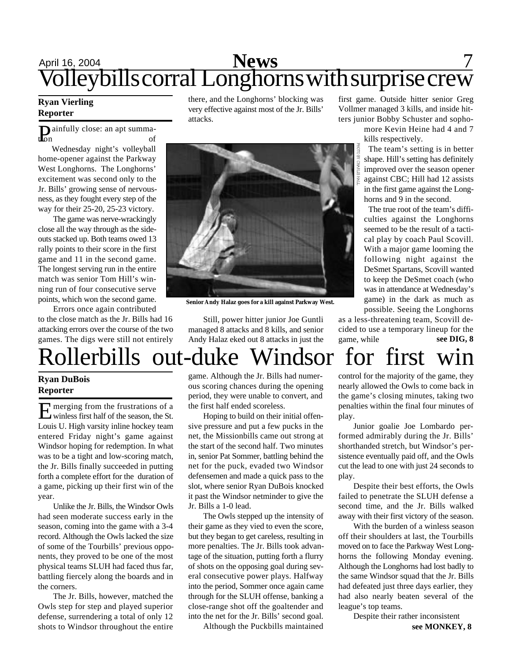# April 16, 2004 **News** 7 Volleybills corral Longhorns with surprise crew

### **Ryan Vierling Reporter**

**D**ainfully close: an apt summa-<br>of tion of

Wednesday night's volleyball home-opener against the Parkway West Longhorns. The Longhorns' excitement was second only to the Jr. Bills' growing sense of nervousness, as they fought every step of the way for their 25-20, 25-23 victory.

The game was nerve-wrackingly close all the way through as the sideouts stacked up. Both teams owed 13 rally points to their score in the first game and 11 in the second game. The longest serving run in the entire match was senior Tom Hill's winning run of four consecutive serve points, which won the second game.

Errors once again contributed to the close match as the Jr. Bills had 16 attacking errors over the course of the two games. The digs were still not entirely there, and the Longhorns' blocking was very effective against most of the Jr. Bills' attacks.



**Senior Andy Halaz goes for a kill against Parkway West.**

Still, power hitter junior Joe Guntli managed 8 attacks and 8 kills, and senior Andy Halaz eked out 8 attacks in just the first game. Outside hitter senior Greg Vollmer managed 3 kills, and inside hitters junior Bobby Schuster and sopho-

> more Kevin Heine had 4 and 7 kills respectively.

The team's setting is in better shape. Hill's setting has definitely improved over the season opener against CBC; Hill had 12 assists in the first game against the Longhorns and 9 in the second.

The true root of the team's difficulties against the Longhorns seemed to be the result of a tactical play by coach Paul Scovill. With a major game looming the following night against the DeSmet Spartans, Scovill wanted to keep the DeSmet coach (who was in attendance at Wednesday's game) in the dark as much as possible. Seeing the Longhorns

as a less-threatening team, Scovill decided to use a temporary lineup for the game, while **see DIG, 8**

# Rollerbills out-duke Windsor for first win

#### **Ryan DuBois Reporter**

E merging from the frustrations of a<br>winless first half of the season, the St. merging from the frustrations of a Louis U. High varsity inline hockey team entered Friday night's game against Windsor hoping for redemption. In what was to be a tight and low-scoring match, the Jr. Bills finally succeeded in putting forth a complete effort for the duration of a game, picking up their first win of the year.

Unlike the Jr. Bills, the Windsor Owls had seen moderate success early in the season, coming into the game with a 3-4 record. Although the Owls lacked the size of some of the Tourbills' previous opponents, they proved to be one of the most physical teams SLUH had faced thus far, battling fiercely along the boards and in the corners.

The Jr. Bills, however, matched the Owls step for step and played superior defense, surrendering a total of only 12 shots to Windsor throughout the entire game. Although the Jr. Bills had numerous scoring chances during the opening period, they were unable to convert, and the first half ended scoreless.

Hoping to build on their initial offensive pressure and put a few pucks in the net, the Missionbills came out strong at the start of the second half. Two minutes in, senior Pat Sommer, battling behind the net for the puck, evaded two Windsor defensemen and made a quick pass to the slot, where senior Ryan DuBois knocked it past the Windsor netminder to give the Jr. Bills a 1-0 lead.

The Owls stepped up the intensity of their game as they vied to even the score, but they began to get careless, resulting in more penalties. The Jr. Bills took advantage of the situation, putting forth a flurry of shots on the opposing goal during several consecutive power plays. Halfway into the period, Sommer once again came through for the SLUH offense, banking a close-range shot off the goaltender and into the net for the Jr. Bills' second goal.

Although the Puckbills maintained

control for the majority of the game, they nearly allowed the Owls to come back in the game's closing minutes, taking two penalties within the final four minutes of play.

Junior goalie Joe Lombardo performed admirably during the Jr. Bills' shorthanded stretch, but Windsor's persistence eventually paid off, and the Owls cut the lead to one with just 24 seconds to play.

Despite their best efforts, the Owls failed to penetrate the SLUH defense a second time, and the Jr. Bills walked away with their first victory of the season.

With the burden of a winless season off their shoulders at last, the Tourbills moved on to face the Parkway West Longhorns the following Monday evening. Although the Longhorns had lost badly to the same Windsor squad that the Jr. Bills had defeated just three days earlier, they had also nearly beaten several of the league's top teams.

Despite their rather inconsistent **see MONKEY, 8**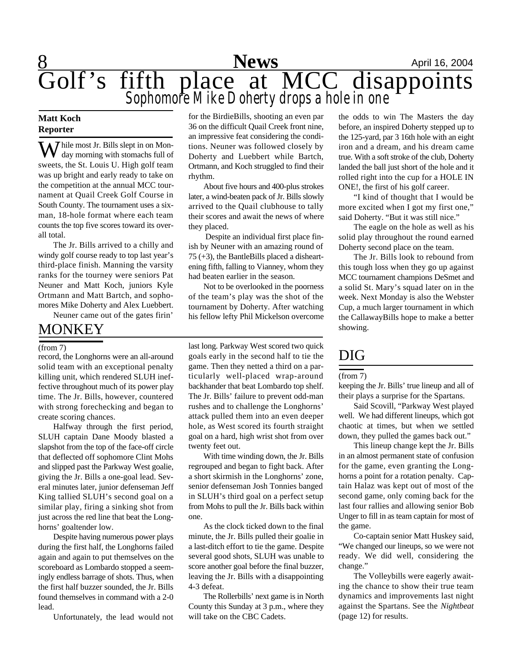

#### **Matt Koch Reporter**

**X** *T* hile most Jr. Bills slept in on Monday morning with stomachs full of sweets, the St. Louis U. High golf team was up bright and early ready to take on the competition at the annual MCC tournament at Quail Creek Golf Course in South County. The tournament uses a sixman, 18-hole format where each team counts the top five scores toward its overall total.

The Jr. Bills arrived to a chilly and windy golf course ready to top last year's third-place finish. Manning the varsity ranks for the tourney were seniors Pat Neuner and Matt Koch, juniors Kyle Ortmann and Matt Bartch, and sophomores Mike Doherty and Alex Luebbert.

Neuner came out of the gates firin'

### MONKEY

record, the Longhorns were an all-around solid team with an exceptional penalty killing unit, which rendered SLUH ineffective throughout much of its power play time. The Jr. Bills, however, countered with strong forechecking and began to create scoring chances.

Halfway through the first period, SLUH captain Dane Moody blasted a slapshot from the top of the face-off circle that deflected off sophomore Clint Mohs and slipped past the Parkway West goalie, giving the Jr. Bills a one-goal lead. Several minutes later, junior defenseman Jeff King tallied SLUH's second goal on a similar play, firing a sinking shot from just across the red line that beat the Longhorns' goaltender low.

Despite having numerous power plays during the first half, the Longhorns failed again and again to put themselves on the scoreboard as Lombardo stopped a seemingly endless barrage of shots. Thus, when the first half buzzer sounded, the Jr. Bills found themselves in command with a 2-0 lead.

Unfortunately, the lead would not

for the BirdieBills, shooting an even par 36 on the difficult Quail Creek front nine, an impressive feat considering the conditions. Neuner was followed closely by Doherty and Luebbert while Bartch, Ortmann, and Koch struggled to find their rhythm.

About five hours and 400-plus strokes later, a wind-beaten pack of Jr. Bills slowly arrived to the Quail clubhouse to tally their scores and await the news of where they placed.

 Despite an individual first place finish by Neuner with an amazing round of 75 (+3), the BantleBills placed a disheartening fifth, falling to Vianney, whom they had beaten earlier in the season.

Not to be overlooked in the poorness of the team's play was the shot of the tournament by Doherty. After watching his fellow lefty Phil Mickelson overcome

(from 7) last long. Parkway West scored two quick goals early in the second half to tie the game. Then they netted a third on a particularly well-placed wrap-around backhander that beat Lombardo top shelf. The Jr. Bills' failure to prevent odd-man rushes and to challenge the Longhorns' attack pulled them into an even deeper hole, as West scored its fourth straight goal on a hard, high wrist shot from over twenty feet out.

> With time winding down, the Jr. Bills regrouped and began to fight back. After a short skirmish in the Longhorns' zone, senior defenseman Josh Tonnies banged in SLUH's third goal on a perfect setup from Mohs to pull the Jr. Bills back within one.

> As the clock ticked down to the final minute, the Jr. Bills pulled their goalie in a last-ditch effort to tie the game. Despite several good shots, SLUH was unable to score another goal before the final buzzer, leaving the Jr. Bills with a disappointing 4-3 defeat.

> The Rollerbills' next game is in North County this Sunday at 3 p.m., where they will take on the CBC Cadets.

the odds to win The Masters the day before, an inspired Doherty stepped up to the 125-yard, par 3 16th hole with an eight iron and a dream, and his dream came true. With a soft stroke of the club, Doherty landed the ball just short of the hole and it rolled right into the cup for a HOLE IN ONE!, the first of his golf career.

"I kind of thought that I would be more excited when I got my first one," said Doherty. "But it was still nice."

The eagle on the hole as well as his solid play throughout the round earned Doherty second place on the team.

The Jr. Bills look to rebound from this tough loss when they go up against MCC tournament champions DeSmet and a solid St. Mary's squad later on in the week. Next Monday is also the Webster Cup, a much larger tournament in which the CallawayBills hope to make a better showing.

### DIG

#### (from 7)

keeping the Jr. Bills' true lineup and all of their plays a surprise for the Spartans.

Said Scovill, "Parkway West played well. We had different lineups, which got chaotic at times, but when we settled down, they pulled the games back out."

This lineup change kept the Jr. Bills in an almost permanent state of confusion for the game, even granting the Longhorns a point for a rotation penalty. Captain Halaz was kept out of most of the second game, only coming back for the last four rallies and allowing senior Bob Unger to fill in as team captain for most of the game.

Co-captain senior Matt Huskey said, "We changed our lineups, so we were not ready. We did well, considering the change."

The Volleybills were eagerly awaiting the chance to show their true team dynamics and improvements last night against the Spartans. See the *Nightbeat* (page 12) for results.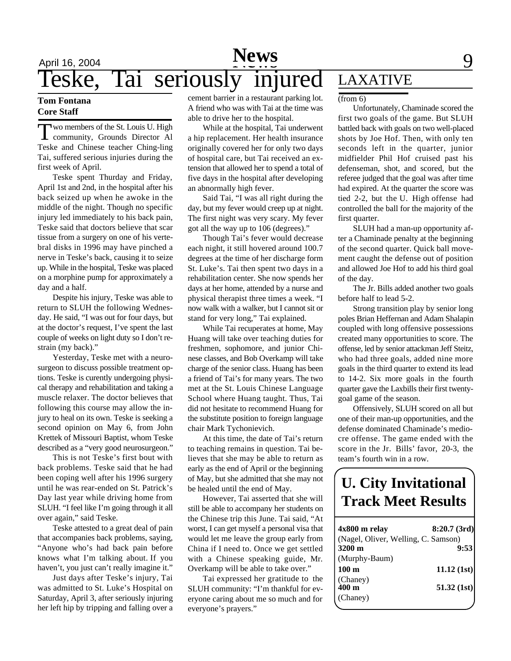#### **Tom Fontana Core Staff**

**T** wo members of the St. Louis U. High community, Grounds Director Al wo members of the St. Louis U. High Teske and Chinese teacher Ching-ling Tai, suffered serious injuries during the first week of April.

Teske spent Thurday and Friday, April 1st and 2nd, in the hospital after his back seized up when he awoke in the middle of the night. Though no specific injury led immediately to his back pain, Teske said that doctors believe that scar tissue from a surgery on one of his vertebral disks in 1996 may have pinched a nerve in Teske's back, causing it to seize up. While in the hospital, Teske was placed on a morphine pump for approximately a day and a half.

Despite his injury, Teske was able to return to SLUH the following Wednesday. He said, "I was out for four days, but at the doctor's request, I've spent the last couple of weeks on light duty so I don't restrain (my back)."

Yesterday, Teske met with a neurosurgeon to discuss possible treatment options. Teske is curently undergoing physical therapy and rehabilitation and taking a muscle relaxer. The doctor believes that following this course may allow the injury to heal on its own. Teske is seeking a second opinion on May 6, from John Krettek of Missouri Baptist, whom Teske described as a "very good neurosurgeon."

This is not Teske's first bout with back problems. Teske said that he had been coping well after his 1996 surgery until he was rear-ended on St. Patrick's Day last year while driving home from SLUH. "I feel like I'm going through it all over again," said Teske.

Teske attested to a great deal of pain that accompanies back problems, saying, "Anyone who's had back pain before knows what I'm talking about. If you haven't, you just can't really imagine it."

Just days after Teske's injury, Tai was admitted to St. Luke's Hospital on Saturday, April 3, after seriously injuring her left hip by tripping and falling over a cement barrier in a restaurant parking lot.  $\frac{\text{from } 6\text{}}{\text{from } 6\text{}}$ A friend who was with Tai at the time was able to drive her to the hospital.

While at the hospital, Tai underwent a hip replacement. Her health insurance originally covered her for only two days of hospital care, but Tai received an extension that allowed her to spend a total of five days in the hospital after developing an abnormally high fever.

Said Tai, "I was all right during the day, but my fever would creep up at night. The first night was very scary. My fever got all the way up to 106 (degrees)."

Though Tai's fever would decrease each night, it still hovered around 100.7 degrees at the time of her discharge form St. Luke's. Tai then spent two days in a rehabilitation center. She now spends her days at her home, attended by a nurse and physical therapist three times a week. "I now walk with a walker, but I cannot sit or stand for very long," Tai explained.

While Tai recuperates at home, May Huang will take over teaching duties for freshmen, sophomore, and junior Chinese classes, and Bob Overkamp will take charge of the senior class. Huang has been a friend of Tai's for many years. The two met at the St. Louis Chinese Language School where Huang taught. Thus, Tai did not hesitate to recommend Huang for the substitute position to foreign language chair Mark Tychonievich.

At this time, the date of Tai's return to teaching remains in question. Tai believes that she may be able to return as early as the end of April or the beginning of May, but she admitted that she may not be healed until the end of May.

However, Tai asserted that she will still be able to accompany her students on the Chinese trip this June. Tai said, "At worst, I can get myself a personal visa that would let me leave the group early from China if I need to. Once we get settled with a Chinese speaking guide, Mr. Overkamp will be able to take over."

Tai expressed her gratitude to the SLUH community: "I'm thankful for everyone caring about me so much and for everyone's prayers."

## LAXATIVE

Unfortunately, Chaminade scored the first two goals of the game. But SLUH battled back with goals on two well-placed shots by Joe Hof. Then, with only ten seconds left in the quarter, junior midfielder Phil Hof cruised past his defenseman, shot, and scored, but the referee judged that the goal was after time had expired. At the quarter the score was tied 2-2, but the U. High offense had controlled the ball for the majority of the first quarter.

SLUH had a man-up opportunity after a Chaminade penalty at the beginning of the second quarter. Quick ball movement caught the defense out of position and allowed Joe Hof to add his third goal of the day.

The Jr. Bills added another two goals before half to lead 5-2.

Strong transition play by senior long poles Brian Heffernan and Adam Shalapin coupled with long offensive possessions created many opportunities to score. The offense, led by senior attackman Jeff Steitz, who had three goals, added nine more goals in the third quarter to extend its lead to 14-2. Six more goals in the fourth quarter gave the Laxbills their first twentygoal game of the season.

Offensively, SLUH scored on all but one of their man-up opportunities, and the defense dominated Chaminade's mediocre offense. The game ended with the score in the Jr. Bills' favor, 20-3, the team's fourth win in a row.

## **U. City Invitational Track Meet Results**

| 4x800 m relay                       | 8:20.7(3rd) |
|-------------------------------------|-------------|
| (Nagel, Oliver, Welling, C. Samson) |             |
| 3200 m                              | 9:53        |
| (Murphy-Baum)                       |             |
| 100 <sub>m</sub>                    | 11.12(1st)  |
| (Chaney)<br>$400 \text{ m}$         | 51.32(1st)  |
| (Chaney)                            |             |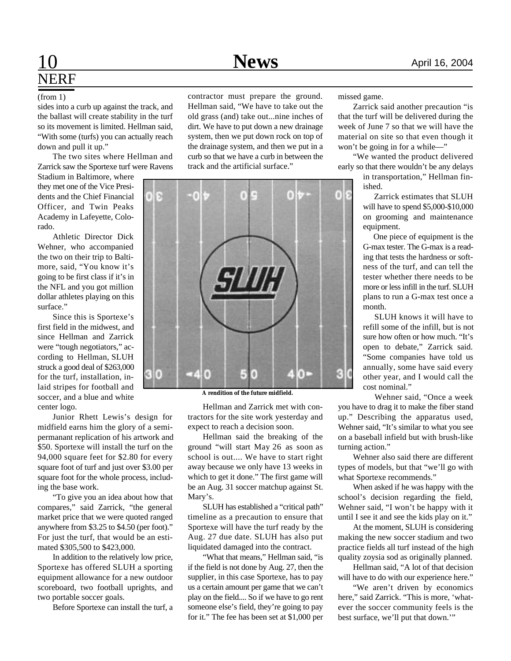## 10 **News** April 16, 2004 NERF

#### (from 1)

sides into a curb up against the track, and the ballast will create stability in the turf so its movement is limited. Hellman said, "With some (turfs) you can actually reach down and pull it up."

The two sites where Hellman and Zarrick saw the Sportexe turf were Ravens

Stadium in Baltimore, where they met one of the Vice Presidents and the Chief Financial Officer, and Twin Peaks Academy in Lafeyette, Colorado.

Athletic Director Dick Wehner, who accompanied the two on their trip to Baltimore, said, "You know it's going to be first class if it's in the NFL and you got million dollar athletes playing on this surface."

Since this is Sportexe's first field in the midwest, and since Hellman and Zarrick were "tough negotiators," according to Hellman, SLUH struck a good deal of \$263,000 for the turf, installation, inlaid stripes for football and soccer, and a blue and white center logo.

Junior Rhett Lewis's design for midfield earns him the glory of a semipermanant replication of his artwork and \$50. Sportexe will install the turf on the 94,000 square feet for \$2.80 for every square foot of turf and just over \$3.00 per square foot for the whole process, including the base work.

"To give you an idea about how that compares," said Zarrick, "the general market price that we were quoted ranged anywhere from \$3.25 to \$4.50 (per foot)." For just the turf, that would be an estimated \$305,500 to \$423,000.

In addition to the relatively low price, Sportexe has offered SLUH a sporting equipment allowance for a new outdoor scoreboard, two football uprights, and two portable soccer goals.

Before Sportexe can install the turf, a

contractor must prepare the ground. Hellman said, "We have to take out the old grass (and) take out...nine inches of dirt. We have to put down a new drainage system, then we put down rock on top of the drainage system, and then we put in a curb so that we have a curb in between the track and the artificial surface."



**A rendition of the future midfield.**

Hellman and Zarrick met with contractors for the site work yesterday and expect to reach a decision soon.

Hellman said the breaking of the ground "will start May 26 as soon as school is out.... We have to start right away because we only have 13 weeks in which to get it done." The first game will be an Aug. 31 soccer matchup against St. Mary's.

SLUH has established a "critical path" timeline as a precaution to ensure that Sportexe will have the turf ready by the Aug. 27 due date. SLUH has also put liquidated damaged into the contract.

"What that means," Hellman said, "is if the field is not done by Aug. 27, then the supplier, in this case Sportexe, has to pay us a certain amount per game that we can't play on the field.... So if we have to go rent someone else's field, they're going to pay for it." The fee has been set at \$1,000 per

missed game.

Zarrick said another precaution "is that the turf will be delivered during the week of June 7 so that we will have the material on site so that even though it won't be going in for a while—"

"We wanted the product delivered early so that there wouldn't be any delays

in transportation," Hellman finished.

 Zarrick estimates that SLUH will have to spend \$5,000-\$10,000 on grooming and maintenance equipment.

 One piece of equipment is the G-max tester. The G-max is a reading that tests the hardness or softness of the turf, and can tell the tester whether there needs to be more or less infill in the turf. SLUH plans to run a G-max test once a month.

 SLUH knows it will have to refill some of the infill, but is not sure how often or how much. "It's open to debate," Zarrick said. "Some companies have told us annually, some have said every other year, and I would call the cost nominal."

 Wehner said, "Once a week you have to drag it to make the fiber stand up." Describing the apparatus used, Wehner said, "It's similar to what you see on a baseball infield but with brush-like turning action."

Wehner also said there are different types of models, but that "we'll go with what Sportexe recommends."

When asked if he was happy with the school's decision regarding the field, Wehner said, "I won't be happy with it until I see it and see the kids play on it."

At the moment, SLUH is considering making the new soccer stadium and two practice fields all turf instead of the high quality zoysia sod as originally planned.

Hellman said, "A lot of that decision will have to do with our experience here."

"We aren't driven by economics here," said Zarrick. "This is more, 'whatever the soccer community feels is the best surface, we'll put that down.'"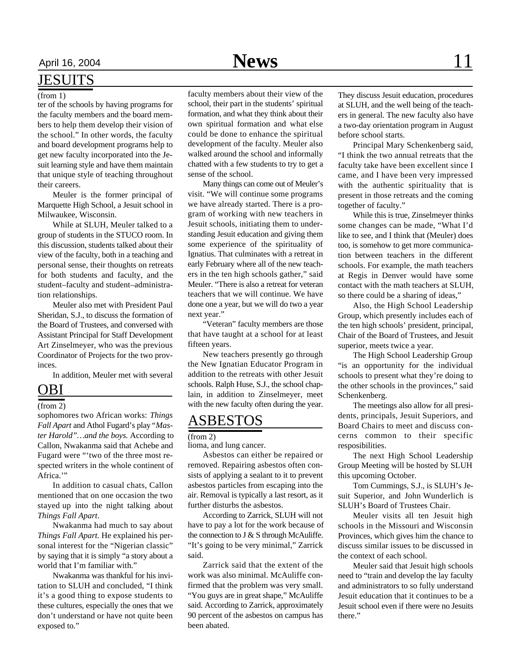### **JESUITS**

#### (from 1)

ter of the schools by having programs for the faculty members and the board members to help them develop their vision of the school." In other words, the faculty and board development programs help to get new faculty incorporated into the Jesuit learning style and have them maintain that unique style of teaching throughout their careers.

Meuler is the former principal of Marquette High School, a Jesuit school in Milwaukee, Wisconsin.

While at SLUH, Meuler talked to a group of students in the STUCO room. In this discussion, students talked about their view of the faculty, both in a teaching and personal sense, their thoughts on retreats for both students and faculty, and the student–faculty and student–administration relationships.

Meuler also met with President Paul Sheridan, S.J., to discuss the formation of the Board of Trustees, and conversed with Assistant Principal for Staff Development Art Zinselmeyer, who was the previous Coordinator of Projects for the two provinces.

In addition, Meuler met with several

### OBI

### (from 2)

sophomores two African works: *Things Fall Apart* and Athol Fugard's play *"Master Harold"…and the boys*. According to Callon, Nwakanma said that Achebe and Fugard were "'two of the three most respected writers in the whole continent of Africa."

In addition to casual chats, Callon mentioned that on one occasion the two stayed up into the night talking about *Things Fall Apart*.

Nwakanma had much to say about *Things Fall Apart*. He explained his personal interest for the "Nigerian classic" by saying that it is simply "a story about a world that I'm familiar with."

Nwakanma was thankful for his invitation to SLUH and concluded, "I think it's a good thing to expose students to these cultures, especially the ones that we don't understand or have not quite been exposed to."

faculty members about their view of the school, their part in the students' spiritual formation, and what they think about their own spiritual formation and what else could be done to enhance the spiritual development of the faculty. Meuler also walked around the school and informally chatted with a few students to try to get a sense of the school.

Many things can come out of Meuler's visit. "We will continue some programs we have already started. There is a program of working with new teachers in Jesuit schools, initiating them to understanding Jesuit education and giving them some experience of the spirituality of Ignatius. That culminates with a retreat in early February where all of the new teachers in the ten high schools gather," said Meuler. "There is also a retreat for veteran teachers that we will continue. We have done one a year, but we will do two a year next year."

"Veteran" faculty members are those that have taught at a school for at least fifteen years.

New teachers presently go through the New Ignatian Educator Program in addition to the retreats with other Jesuit schools. Ralph Huse, S.J., the school chaplain, in addition to Zinselmeyer, meet with the new faculty often during the year.

### ASBESTOS

#### (from 2)

lioma, and lung cancer.

Asbestos can either be repaired or removed. Repairing asbestos often consists of applying a sealant to it to prevent asbestos particles from escaping into the air. Removal is typically a last resort, as it further disturbs the asbestos.

According to Zarrick, SLUH will not have to pay a lot for the work because of the connection to  $J & S$  through McAuliffe. "It's going to be very minimal," Zarrick said.

Zarrick said that the extent of the work was also minimal. McAuliffe confirmed that the problem was very small. "You guys are in great shape," McAuliffe said. According to Zarrick, approximately 90 percent of the asbestos on campus has been abated.

They discuss Jesuit education, procedures at SLUH, and the well being of the teachers in general. The new faculty also have a two-day orientation program in August before school starts.

Principal Mary Schenkenberg said, "I think the two annual retreats that the faculty take have been excellent since I came, and I have been very impressed with the authentic spirituality that is present in those retreats and the coming together of faculty."

While this is true, Zinselmeyer thinks some changes can be made, "What I'd like to see, and I think that (Meuler) does too, is somehow to get more communication between teachers in the different schools. For example, the math teachers at Regis in Denver would have some contact with the math teachers at SLUH, so there could be a sharing of ideas,"

Also, the High School Leadership Group, which presently includes each of the ten high schools' president, principal, Chair of the Board of Trustees, and Jesuit superior, meets twice a year.

The High School Leadership Group "is an opportunity for the individual schools to present what they're doing to the other schools in the provinces," said Schenkenberg.

The meetings also allow for all presidents, principals, Jesuit Superiors, and Board Chairs to meet and discuss concerns common to their specific resposibilities.

The next High School Leadership Group Meeting will be hosted by SLUH this upcoming October.

Tom Cummings, S.J., is SLUH's Jesuit Superior, and John Wunderlich is SLUH's Board of Trustees Chair.

Meuler visits all ten Jesuit high schools in the Missouri and Wisconsin Provinces, which gives him the chance to discuss similar issues to be discussed in the context of each school.

Meuler said that Jesuit high schools need to "train and develop the lay faculty and administrators to so fully understand Jesuit education that it continues to be a Jesuit school even if there were no Jesuits there."